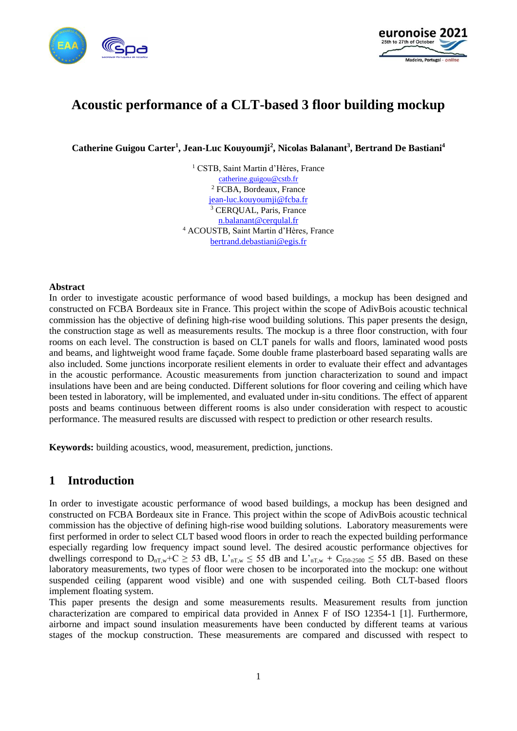



# **Acoustic performance of a CLT-based 3 floor building mockup**

**Catherine Guigou Carter<sup>1</sup> , Jean-Luc Kouyoumji<sup>2</sup> , Nicolas Balanant<sup>3</sup> , Bertrand De Bastiani 4**

<sup>1</sup> CSTB, Saint Martin d'Hères, France [catherine.guigou@cstb.fr](mailto:catherine.guigou@cstb.fr) <sup>2</sup> FCBA, Bordeaux, France [jean-luc.kouyoumji@fcba.fr](mailto:jean-luc.kouyoumji@fcba.fr) <sup>3</sup> CERQUAL, Paris, France [n.balanant@cerqulal.fr](mailto:n.balanant@cerqulal.fr) <sup>4</sup> ACOUSTB, Saint Martin d'Hères, France [bertrand.debastiani@egis.fr](mailto:bertrand.debastiani@egis.fr)

#### **Abstract**

In order to investigate acoustic performance of wood based buildings, a mockup has been designed and constructed on FCBA Bordeaux site in France. This project within the scope of AdivBois acoustic technical commission has the objective of defining high-rise wood building solutions. This paper presents the design, the construction stage as well as measurements results. The mockup is a three floor construction, with four rooms on each level. The construction is based on CLT panels for walls and floors, laminated wood posts and beams, and lightweight wood frame façade. Some double frame plasterboard based separating walls are also included. Some junctions incorporate resilient elements in order to evaluate their effect and advantages in the acoustic performance. Acoustic measurements from junction characterization to sound and impact insulations have been and are being conducted. Different solutions for floor covering and ceiling which have been tested in laboratory, will be implemented, and evaluated under in-situ conditions. The effect of apparent posts and beams continuous between different rooms is also under consideration with respect to acoustic performance. The measured results are discussed with respect to prediction or other research results.

**Keywords:** building acoustics, wood, measurement, prediction, junctions.

### **1 Introduction**

In order to investigate acoustic performance of wood based buildings, a mockup has been designed and constructed on FCBA Bordeaux site in France. This project within the scope of AdivBois acoustic technical commission has the objective of defining high-rise wood building solutions. Laboratory measurements were first performed in order to select CLT based wood floors in order to reach the expected building performance especially regarding low frequency impact sound level. The desired acoustic performance objectives for dwellings correspond to  $D_{nT,w}$ +C  $\geq$  53 dB, L'<sub>nT,w</sub>  $\leq$  55 dB and L'<sub>nT,w</sub> + C<sub>150-2500</sub>  $\leq$  55 dB. Based on these laboratory measurements, two types of floor were chosen to be incorporated into the mockup: one without suspended ceiling (apparent wood visible) and one with suspended ceiling. Both CLT-based floors implement floating system.

This paper presents the design and some measurements results. Measurement results from junction characterization are compared to empirical data provided in Annex F of ISO 12354-1 [1]. Furthermore, airborne and impact sound insulation measurements have been conducted by different teams at various stages of the mockup construction. These measurements are compared and discussed with respect to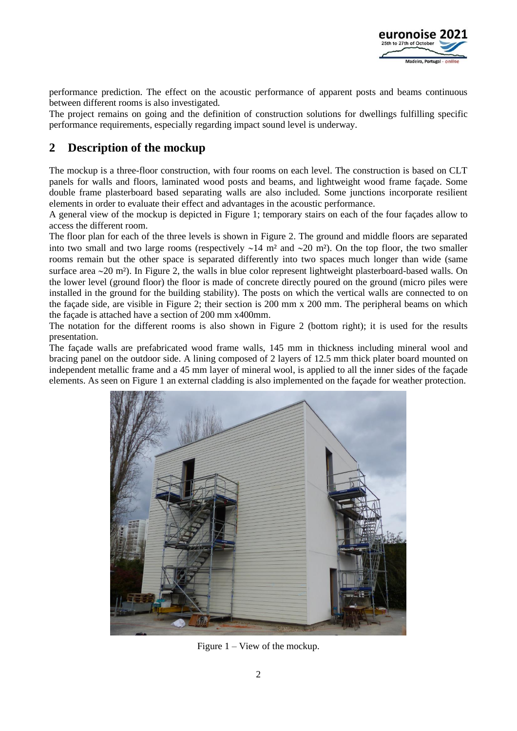

performance prediction. The effect on the acoustic performance of apparent posts and beams continuous between different rooms is also investigated.

The project remains on going and the definition of construction solutions for dwellings fulfilling specific performance requirements, especially regarding impact sound level is underway.

# **2 Description of the mockup**

The mockup is a three-floor construction, with four rooms on each level. The construction is based on CLT panels for walls and floors, laminated wood posts and beams, and lightweight wood frame façade. Some double frame plasterboard based separating walls are also included. Some junctions incorporate resilient elements in order to evaluate their effect and advantages in the acoustic performance.

A general view of the mockup is depicted in Figure 1; temporary stairs on each of the four façades allow to access the different room.

The floor plan for each of the three levels is shown in Figure 2. The ground and middle floors are separated into two small and two large rooms (respectively  $\sim$ 14 m<sup>2</sup> and  $\sim$ 20 m<sup>2</sup>). On the top floor, the two smaller rooms remain but the other space is separated differently into two spaces much longer than wide (same surface area ~20 m<sup>2</sup>). In Figure 2, the walls in blue color represent lightweight plasterboard-based walls. On the lower level (ground floor) the floor is made of concrete directly poured on the ground (micro piles were installed in the ground for the building stability). The posts on which the vertical walls are connected to on the façade side, are visible in Figure 2; their section is 200 mm x 200 mm. The peripheral beams on which the façade is attached have a section of 200 mm x400mm.

The notation for the different rooms is also shown in Figure 2 (bottom right); it is used for the results presentation.

The façade walls are prefabricated wood frame walls, 145 mm in thickness including mineral wool and bracing panel on the outdoor side. A lining composed of 2 layers of 12.5 mm thick plater board mounted on independent metallic frame and a 45 mm layer of mineral wool, is applied to all the inner sides of the façade elements. As seen on Figure 1 an external cladding is also implemented on the façade for weather protection.



Figure 1 – View of the mockup.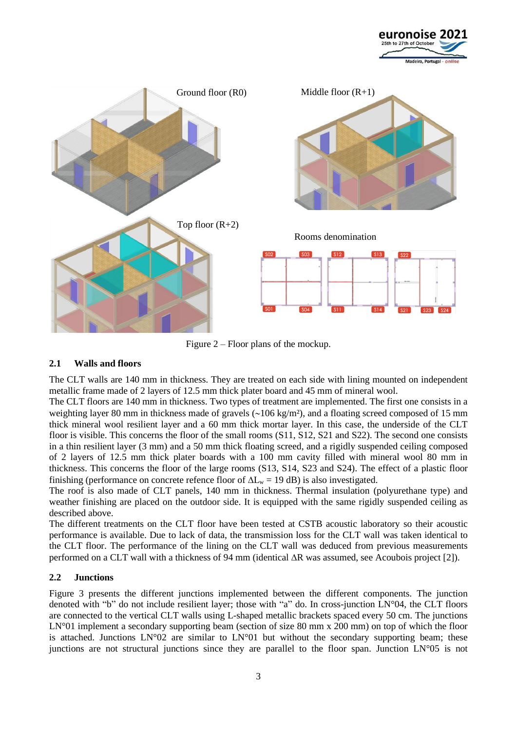



Figure 2 – Floor plans of the mockup.

### **2.1 Walls and floors**

The CLT walls are 140 mm in thickness. They are treated on each side with lining mounted on independent metallic frame made of 2 layers of 12.5 mm thick plater board and 45 mm of mineral wool.

The CLT floors are 140 mm in thickness. Two types of treatment are implemented. The first one consists in a weighting layer 80 mm in thickness made of gravels  $\sim$ 106 kg/m<sup>2</sup>), and a floating screed composed of 15 mm thick mineral wool resilient layer and a 60 mm thick mortar layer. In this case, the underside of the CLT floor is visible. This concerns the floor of the small rooms (S11, S12, S21 and S22). The second one consists in a thin resilient layer (3 mm) and a 50 mm thick floating screed, and a rigidly suspended ceiling composed of 2 layers of 12.5 mm thick plater boards with a 100 mm cavity filled with mineral wool 80 mm in thickness. This concerns the floor of the large rooms (S13, S14, S23 and S24). The effect of a plastic floor finishing (performance on concrete refence floor of  $\Delta L_w = 19$  dB) is also investigated.

The roof is also made of CLT panels, 140 mm in thickness. Thermal insulation (polyurethane type) and weather finishing are placed on the outdoor side. It is equipped with the same rigidly suspended ceiling as described above.

The different treatments on the CLT floor have been tested at CSTB acoustic laboratory so their acoustic performance is available. Due to lack of data, the transmission loss for the CLT wall was taken identical to the CLT floor. The performance of the lining on the CLT wall was deduced from previous measurements performed on a CLT wall with a thickness of 94 mm (identical  $\Delta R$  was assumed, see Acoubois project [2]).

### **2.2 Junctions**

Figure 3 presents the different junctions implemented between the different components. The junction denoted with "b" do not include resilient layer; those with "a" do. In cross-junction LN°04, the CLT floors are connected to the vertical CLT walls using L-shaped metallic brackets spaced every 50 cm. The junctions LN°01 implement a secondary supporting beam (section of size 80 mm x 200 mm) on top of which the floor is attached. Junctions  $LN^{\circ}02$  are similar to  $LN^{\circ}01$  but without the secondary supporting beam; these junctions are not structural junctions since they are parallel to the floor span. Junction LN°05 is not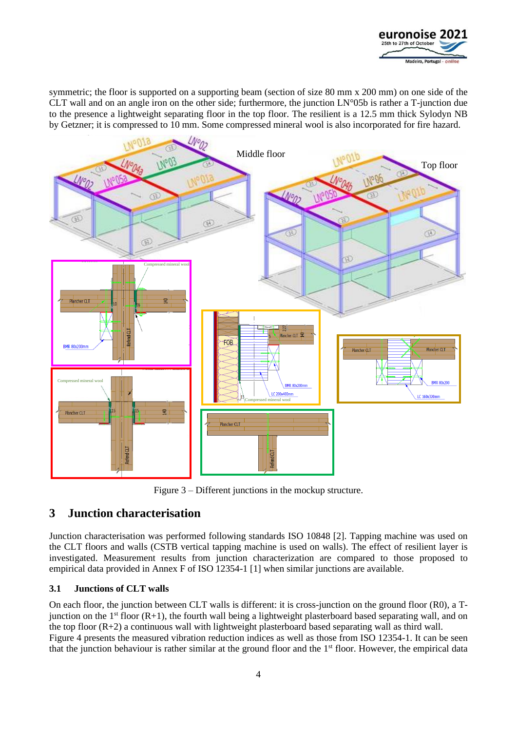

symmetric; the floor is supported on a supporting beam (section of size 80 mm x 200 mm) on one side of the CLT wall and on an angle iron on the other side; furthermore, the junction LN°05b is rather a T-junction due to the presence a lightweight separating floor in the top floor. The resilient is a 12.5 mm thick Sylodyn NB by Getzner; it is compressed to 10 mm. Some compressed mineral wool is also incorporated for fire hazard.



Figure 3 – Different junctions in the mockup structure.

### **3 Junction characterisation**

Junction characterisation was performed following standards ISO 10848 [2]. Tapping machine was used on the CLT floors and walls (CSTB vertical tapping machine is used on walls). The effect of resilient layer is investigated. Measurement results from junction characterization are compared to those proposed to empirical data provided in Annex F of ISO 12354-1 [1] when similar junctions are available.

### **3.1 Junctions of CLT walls**

On each floor, the junction between CLT walls is different: it is cross-junction on the ground floor (R0), a Tjunction on the  $1<sup>st</sup>$  floor (R+1), the fourth wall being a lightweight plasterboard based separating wall, and on the top floor (R+2) a continuous wall with lightweight plasterboard based separating wall as third wall. Figure 4 presents the measured vibration reduction indices as well as those from ISO 12354-1. It can be seen that the junction behaviour is rather similar at the ground floor and the 1<sup>st</sup> floor. However, the empirical data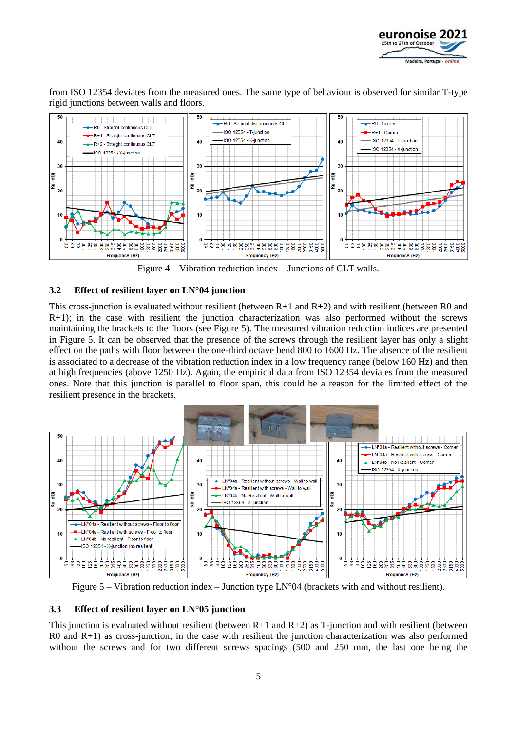

from ISO 12354 deviates from the measured ones. The same type of behaviour is observed for similar T-type rigid junctions between walls and floors.



Figure 4 – Vibration reduction index – Junctions of CLT walls.

### **3.2 Effect of resilient layer on LN°04 junction**

This cross-junction is evaluated without resilient (between  $R+1$  and  $R+2$ ) and with resilient (between R0 and R+1); in the case with resilient the junction characterization was also performed without the screws maintaining the brackets to the floors (see Figure 5). The measured vibration reduction indices are presented in Figure 5. It can be observed that the presence of the screws through the resilient layer has only a slight effect on the paths with floor between the one-third octave bend 800 to 1600 Hz. The absence of the resilient is associated to a decrease of the vibration reduction index in a low frequency range (below 160 Hz) and then at high frequencies (above 1250 Hz). Again, the empirical data from ISO 12354 deviates from the measured ones. Note that this junction is parallel to floor span, this could be a reason for the limited effect of the resilient presence in the brackets.



Figure  $5$  – Vibration reduction index – Junction type LN°04 (brackets with and without resilient).

### **3.3 Effect of resilient layer on LN°05 junction**

This junction is evaluated without resilient (between  $R+1$  and  $R+2$ ) as T-junction and with resilient (between  $R0$  and  $R+1$ ) as cross-junction; in the case with resilient the junction characterization was also performed without the screws and for two different screws spacings (500 and 250 mm, the last one being the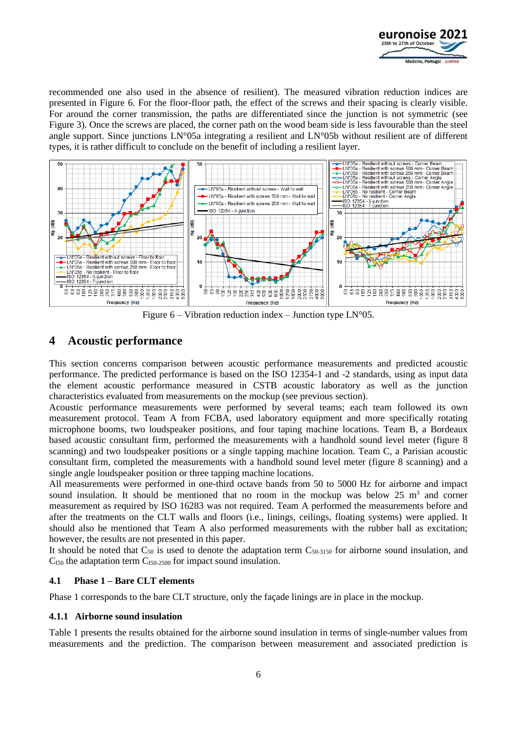

recommended one also used in the absence of resilient). The measured vibration reduction indices are presented in Figure 6. For the floor-floor path, the effect of the screws and their spacing is clearly visible. For around the corner transmission, the paths are differentiated since the junction is not symmetric (see Figure 3). Once the screws are placed, the corner path on the wood beam side is less favourable than the steel angle support. Since junctions LN°05a integrating a resilient and LN°05b without resilient are of different types, it is rather difficult to conclude on the benefit of including a resilient layer.



Figure  $6 -$  Vibration reduction index – Junction type LN°05.

### **4 Acoustic performance**

This section concerns comparison between acoustic performance measurements and predicted acoustic performance. The predicted performance is based on the ISO 12354-1 and -2 standards, using as input data the element acoustic performance measured in CSTB acoustic laboratory as well as the junction characteristics evaluated from measurements on the mockup (see previous section).

Acoustic performance measurements were performed by several teams; each team followed its own measurement protocol. Team A from FCBA, used laboratory equipment and more specifically rotating microphone booms, two loudspeaker positions, and four taping machine locations. Team B, a Bordeaux based acoustic consultant firm, performed the measurements with a handhold sound level meter (figure 8 scanning) and two loudspeaker positions or a single tapping machine location. Team C, a Parisian acoustic consultant firm, completed the measurements with a handhold sound level meter (figure 8 scanning) and a single angle loudspeaker position or three tapping machine locations.

All measurements were performed in one-third octave bands from 50 to 5000 Hz for airborne and impact sound insulation. It should be mentioned that no room in the mockup was below  $25 \text{ m}^3$  and corner measurement as required by ISO 16283 was not required. Team A performed the measurements before and after the treatments on the CLT walls and floors (i.e., linings, ceilings, floating systems) were applied. It should also be mentioned that Team A also performed measurements with the rubber ball as excitation; however, the results are not presented in this paper.

It should be noted that  $C_{50}$  is used to denote the adaptation term  $C_{50-3150}$  for airborne sound insulation, and  $C<sub>IS0</sub>$  the adaptation term  $C<sub>IS0-2500</sub>$  for impact sound insulation.

### **4.1 Phase 1 – Bare CLT elements**

Phase 1 corresponds to the bare CLT structure, only the façade linings are in place in the mockup.

### **4.1.1 Airborne sound insulation**

Table 1 presents the results obtained for the airborne sound insulation in terms of single-number values from measurements and the prediction. The comparison between measurement and associated prediction is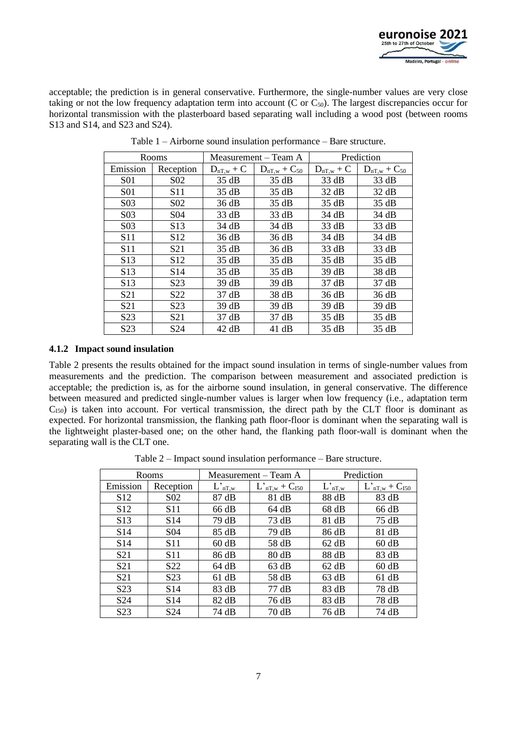

acceptable; the prediction is in general conservative. Furthermore, the single-number values are very close taking or not the low frequency adaptation term into account (C or  $C_{50}$ ). The largest discrepancies occur for horizontal transmission with the plasterboard based separating wall including a wood post (between rooms S13 and S14, and S23 and S24).

| Rooms            |                  |                | Measurement – Team A | Prediction     |                     |  |
|------------------|------------------|----------------|----------------------|----------------|---------------------|--|
| Emission         | Reception        | $D_{nT,w}$ + C | $D_{nT,w} + C_{50}$  | $D_{nT,w} + C$ | $D_{nT,w} + C_{50}$ |  |
| S01              | S <sub>0</sub> 2 | 35 dB          | 35 dB                | 33 dB          | 33 dB               |  |
| <b>S01</b>       | S <sub>11</sub>  | 35 dB          | 35 dB                | 32 dB          | 32 dB               |  |
| S <sub>0</sub> 3 | S <sub>0</sub> 2 | 36 dB          | 35 dB                | 35 dB          | 35 dB               |  |
| S03              | S <sub>04</sub>  | 33 dB          | 33 dB                | 34 dB          | 34 dB               |  |
| S <sub>0</sub> 3 | S <sub>13</sub>  | 34 dB          | 34 dB                | 33 dB          | 33 dB               |  |
| S <sub>11</sub>  | S <sub>12</sub>  | 36 dB          | 36 dB                | 34 dB          | 34 dB               |  |
| S <sub>11</sub>  | S <sub>21</sub>  | 35 dB          | 36 dB                | 33 dB          | 33 dB               |  |
| S <sub>13</sub>  | S <sub>12</sub>  | 35 dB          | 35 dB                | 35 dB          | 35 dB               |  |
| S <sub>13</sub>  | S <sub>14</sub>  | 35 dB          | 35 dB                | 39 dB          | 38 dB               |  |
| S <sub>13</sub>  | S <sub>2</sub> 3 | 39 dB          | 39 dB                | 37 dB          | 37 dB               |  |
| S <sub>21</sub>  | S22              | 37 dB          | 38 dB                | 36 dB          | 36 dB               |  |
| S <sub>21</sub>  | S <sub>2</sub> 3 | 39 dB          | 39 dB                | 39 dB          | 39 dB               |  |
| S <sub>2</sub> 3 | S <sub>21</sub>  | 37 dB          | 37 dB                | 35 dB          | 35 dB               |  |
| S <sub>2</sub> 3 | S <sub>24</sub>  | 42 dB          | 41 dB                | 35 dB          | 35 dB               |  |

Table 1 – Airborne sound insulation performance – Bare structure.

### **4.1.2 Impact sound insulation**

Table 2 presents the results obtained for the impact sound insulation in terms of single-number values from measurements and the prediction. The comparison between measurement and associated prediction is acceptable; the prediction is, as for the airborne sound insulation, in general conservative. The difference between measured and predicted single-number values is larger when low frequency (i.e., adaptation term  $C<sub>150</sub>$ ) is taken into account. For vertical transmission, the direct path by the CLT floor is dominant as expected. For horizontal transmission, the flanking path floor-floor is dominant when the separating wall is the lightweight plaster-based one; on the other hand, the flanking path floor-wall is dominant when the separating wall is the CLT one.

Table 2 – Impact sound insulation performance – Bare structure.

| Rooms            |                  |             | Measurement – Team A  | Prediction  |                        |  |
|------------------|------------------|-------------|-----------------------|-------------|------------------------|--|
| Emission         | Reception        | $L'_{nT,w}$ | $L'_{nT,w} + C_{150}$ | $L'_{nT,w}$ | $L_{nT,w}^* + C_{150}$ |  |
| S <sub>12</sub>  | S <sub>0</sub> 2 | 87 dB       | 81 dB                 | 88 dB       | 83 dB                  |  |
| S <sub>12</sub>  | S11              | 66 dB       | 64 dB                 | 68 dB       | 66 dB                  |  |
| S <sub>13</sub>  | S <sub>14</sub>  | 79 dB       | 73 dB                 | 81 dB       | 75dB                   |  |
| S <sub>14</sub>  | S <sub>04</sub>  | 85 dB       | 79 dB                 | 86 dB       | 81 dB                  |  |
| S <sub>14</sub>  | S <sub>11</sub>  | 60 dB       | 58 dB                 | 62 dB       | 60 dB                  |  |
| S <sub>21</sub>  | S11              | 86 dB       | 80 dB                 | 88 dB       | 83 dB                  |  |
| S <sub>21</sub>  | S <sub>22</sub>  | 64 dB       | 63 dB                 | 62 dB       | 60 dB                  |  |
| S <sub>21</sub>  | S <sub>2</sub> 3 | 61 dB       | 58 dB                 | 63 dB       | 61 dB                  |  |
| S <sub>2</sub> 3 | S <sub>14</sub>  | 83 dB       | 77 dB                 | 83 dB       | 78 dB                  |  |
| S <sub>24</sub>  | S <sub>14</sub>  | 82 dB       | 76 dB                 | 83 dB       | 78 dB                  |  |
| S <sub>2</sub> 3 | S <sub>24</sub>  | 74 dB       | 70 dB                 | 76 dB       | 74 dB                  |  |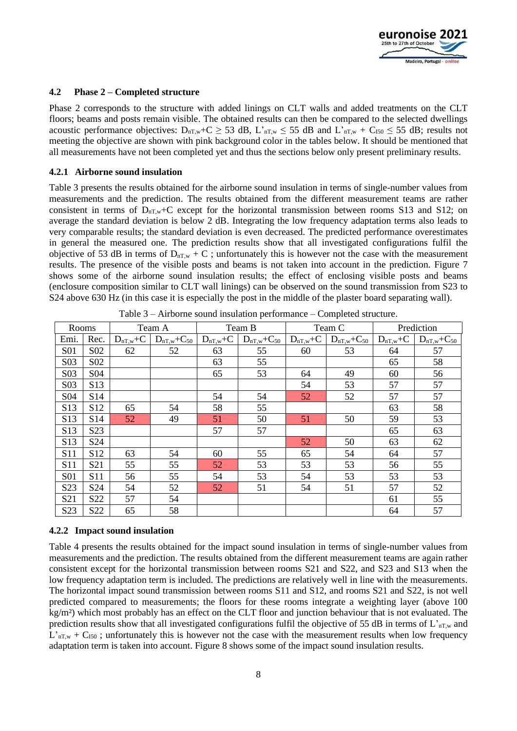

#### **4.2 Phase 2 – Completed structure**

Phase 2 corresponds to the structure with added linings on CLT walls and added treatments on the CLT floors; beams and posts remain visible. The obtained results can then be compared to the selected dwellings acoustic performance objectives:  $D_{nT,w} + C \ge 53$  dB,  $L'_{nT,w} \le 55$  dB and  $L'_{nT,w} + C_{150} \le 55$  dB; results not meeting the objective are shown with pink background color in the tables below. It should be mentioned that all measurements have not been completed yet and thus the sections below only present preliminary results.

#### **4.2.1 Airborne sound insulation**

Table 3 presents the results obtained for the airborne sound insulation in terms of single-number values from measurements and the prediction. The results obtained from the different measurement teams are rather consistent in terms of  $D_{nT,w}$ +C except for the horizontal transmission between rooms S13 and S12; on average the standard deviation is below 2 dB. Integrating the low frequency adaptation terms also leads to very comparable results; the standard deviation is even decreased. The predicted performance overestimates in general the measured one. The prediction results show that all investigated configurations fulfil the objective of 53 dB in terms of  $D_{nT,w} + C$ ; unfortunately this is however not the case with the measurement results. The presence of the visible posts and beams is not taken into account in the prediction. Figure 7 shows some of the airborne sound insulation results; the effect of enclosing visible posts and beams (enclosure composition similar to CLT wall linings) can be observed on the sound transmission from S23 to S24 above 630 Hz (in this case it is especially the post in the middle of the plaster board separating wall).

| Rooms            |                  |               | Team A                |               | Team B                | Team C        |                       | Prediction    |                       |
|------------------|------------------|---------------|-----------------------|---------------|-----------------------|---------------|-----------------------|---------------|-----------------------|
| Emi.             | Rec.             | $D_{nT,w}$ +C | $D_{nT,w}$ + $C_{50}$ | $D_{nT,w}$ +C | $D_{nT,w}$ + $C_{50}$ | $D_{nT,w}$ +C | $D_{nT,w}$ + $C_{50}$ | $D_{nT,w}$ +C | $D_{nT,w}$ + $C_{50}$ |
| <b>S01</b>       | S <sub>02</sub>  | 62            | 52                    | 63            | 55                    | 60            | 53                    | 64            | 57                    |
| S <sub>0</sub> 3 | S <sub>0</sub> 2 |               |                       | 63            | 55                    |               |                       | 65            | 58                    |
| S03              | S <sub>04</sub>  |               |                       | 65            | 53                    | 64            | 49                    | 60            | 56                    |
| S <sub>03</sub>  | S13              |               |                       |               |                       | 54            | 53                    | 57            | 57                    |
| S <sub>04</sub>  | S <sub>14</sub>  |               |                       | 54            | 54                    | 52            | 52                    | 57            | 57                    |
| S13              | S <sub>12</sub>  | 65            | 54                    | 58            | 55                    |               |                       | 63            | 58                    |
| S13              | S14              | 52            | 49                    | 51            | 50                    | 51            | 50                    | 59            | 53                    |
| S13              | S <sub>2</sub> 3 |               |                       | 57            | 57                    |               |                       | 65            | 63                    |
| S13              | S <sub>24</sub>  |               |                       |               |                       | 52            | 50                    | 63            | 62                    |
| S <sub>11</sub>  | S <sub>12</sub>  | 63            | 54                    | 60            | 55                    | 65            | 54                    | 64            | 57                    |
| S <sub>11</sub>  | S <sub>21</sub>  | 55            | 55                    | 52            | 53                    | 53            | 53                    | 56            | 55                    |
| <b>S01</b>       | S <sub>11</sub>  | 56            | 55                    | 54            | 53                    | 54            | 53                    | 53            | 53                    |
| S <sub>2</sub> 3 | S <sub>24</sub>  | 54            | 52                    | 52            | 51                    | 54            | 51                    | 57            | 52                    |
| S <sub>21</sub>  | S22              | 57            | 54                    |               |                       |               |                       | 61            | 55                    |
| S <sub>2</sub> 3 | S22              | 65            | 58                    |               |                       |               |                       | 64            | 57                    |

Table 3 – Airborne sound insulation performance – Completed structure.

### **4.2.2 Impact sound insulation**

Table 4 presents the results obtained for the impact sound insulation in terms of single-number values from measurements and the prediction. The results obtained from the different measurement teams are again rather consistent except for the horizontal transmission between rooms S21 and S22, and S23 and S13 when the low frequency adaptation term is included. The predictions are relatively well in line with the measurements. The horizontal impact sound transmission between rooms S11 and S12, and rooms S21 and S22, is not well predicted compared to measurements; the floors for these rooms integrate a weighting layer (above 100 kg/m²) which most probably has an effect on the CLT floor and junction behaviour that is not evaluated. The prediction results show that all investigated configurations fulfil the objective of 55 dB in terms of  $L_{nT,w}$  and  $L_{nT,w}$  +  $C_{150}$ ; unfortunately this is however not the case with the measurement results when low frequency adaptation term is taken into account. Figure 8 shows some of the impact sound insulation results.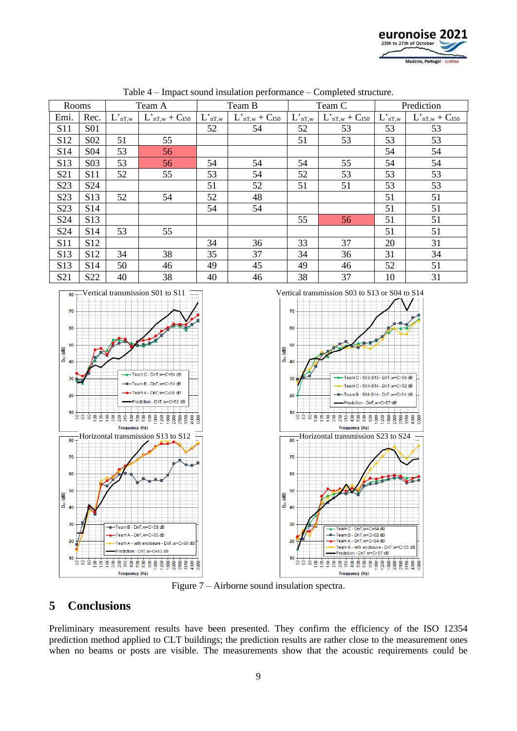

| Rooms<br>Team A  |                  | Team B |                                     | Team C |                                   | Prediction           |                       |                         |                       |
|------------------|------------------|--------|-------------------------------------|--------|-----------------------------------|----------------------|-----------------------|-------------------------|-----------------------|
| Emi.             | Rec.             |        | $L'_{nT,w}$ $L'_{nT,w}$ + $C_{150}$ |        | $L_{nT,w}$ $L_{nT,w}$ + $C_{150}$ | $\mathcal{L}_{nT,w}$ | $L'_{nT,w} + C_{150}$ | $L'_{n\underline{T,w}}$ | $L'_{nT,w} + C_{150}$ |
| S <sub>11</sub>  | <b>S01</b>       |        |                                     | 52     | 54                                | 52                   | 53                    | 53                      | 53                    |
| S <sub>12</sub>  | S <sub>0</sub> 2 | 51     | 55                                  |        |                                   | 51                   | 53                    | 53                      | 53                    |
| S <sub>14</sub>  | S <sub>04</sub>  | 53     | 56                                  |        |                                   |                      |                       | 54                      | 54                    |
| S13              | S <sub>0</sub> 3 | 53     | 56                                  | 54     | 54                                | 54                   | 55                    | 54                      | 54                    |
| S <sub>21</sub>  | <b>S11</b>       | 52     | 55                                  | 53     | 54                                | 52                   | 53                    | 53                      | 53                    |
| S <sub>23</sub>  | S <sub>24</sub>  |        |                                     | 51     | 52                                | 51                   | 51                    | 53                      | 53                    |
| S <sub>2</sub> 3 | S <sub>13</sub>  | 52     | 54                                  | 52     | 48                                |                      |                       | 51                      | 51                    |
| S <sub>23</sub>  | S <sub>14</sub>  |        |                                     | 54     | 54                                |                      |                       | 51                      | 51                    |
| S <sub>24</sub>  | S <sub>13</sub>  |        |                                     |        |                                   | 55                   | 56                    | 51                      | 51                    |
| S <sub>24</sub>  | S14              | 53     | 55                                  |        |                                   |                      |                       | 51                      | 51                    |
| S <sub>11</sub>  | S <sub>12</sub>  |        |                                     | 34     | 36                                | 33                   | 37                    | 20                      | 31                    |
| S <sub>13</sub>  | S <sub>12</sub>  | 34     | 38                                  | 35     | 37                                | 34                   | 36                    | 31                      | 34                    |
| S <sub>13</sub>  | S14              | 50     | 46                                  | 49     | 45                                | 49                   | 46                    | 52                      | 51                    |
| S <sub>21</sub>  | S <sub>22</sub>  | 40     | 38                                  | 40     | 46                                | 38                   | 37                    | 10                      | 31                    |

Table 4 – Impact sound insulation performance – Completed structure.





Figure 7 – Airborne sound insulation spectra.

### **5 Conclusions**

Preliminary measurement results have been presented. They confirm the efficiency of the ISO 12354 prediction method applied to CLT buildings; the prediction results are rather close to the measurement ones when no beams or posts are visible. The measurements show that the acoustic requirements could be